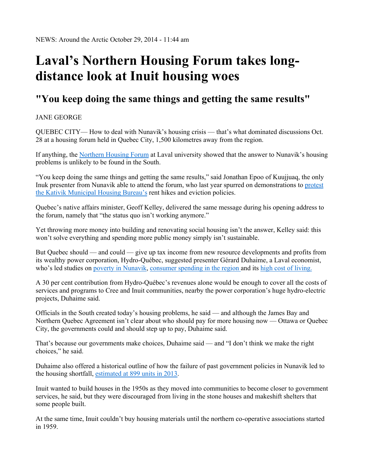## **Laval's Northern Housing Forum takes longdistance look at Inuit housing woes**

## **"You keep doing the same things and getting the same results"**

JANE GEORGE

QUEBEC CITY— How to deal with Nunavik's housing crisis — that's what dominated discussions Oct. 28 at a housing forum held in Quebec City, 1,500 kilometres away from the region.

If anything, the Northern Housing Forum at Laval university showed that the answer to Nunavik's housing problems is unlikely to be found in the South.

"You keep doing the same things and getting the same results," said Jonathan Epoo of Kuujjuaq, the only Inuk presenter from Nunavik able to attend the forum, who last year spurred on demonstrations to protest the Kativik Municipal Housing Bureau's rent hikes and eviction policies.

Quebec's native affairs minister, Geoff Kelley, delivered the same message during his opening address to the forum, namely that "the status quo isn't working anymore."

Yet throwing more money into building and renovating social housing isn't the answer, Kelley said: this won't solve everything and spending more public money simply isn't sustainable.

But Quebec should — and could — give up tax income from new resource developments and profits from its wealthy power corporation, Hydro-Québec, suggested presenter Gérard Duhaime, a Laval economist, who's led studies on poverty in Nunavik, consumer spending in the region and its high cost of living.

A 30 per cent contribution from Hydro-Québec's revenues alone would be enough to cover all the costs of services and programs to Cree and Inuit communities, nearby the power corporation's huge hydro-electric projects, Duhaime said.

Officials in the South created today's housing problems, he said — and although the James Bay and Northern Quebec Agreement isn't clear about who should pay for more housing now — Ottawa or Quebec City, the governments could and should step up to pay, Duhaime said.

That's because our governments make choices, Duhaime said — and "I don't think we make the right choices," he said.

Duhaime also offered a historical outline of how the failure of past government policies in Nunavik led to the housing shortfall, estimated at 899 units in 2013.

Inuit wanted to build houses in the 1950s as they moved into communities to become closer to government services, he said, but they were discouraged from living in the stone houses and makeshift shelters that some people built.

At the same time, Inuit couldn't buy housing materials until the northern co-operative associations started in 1959.